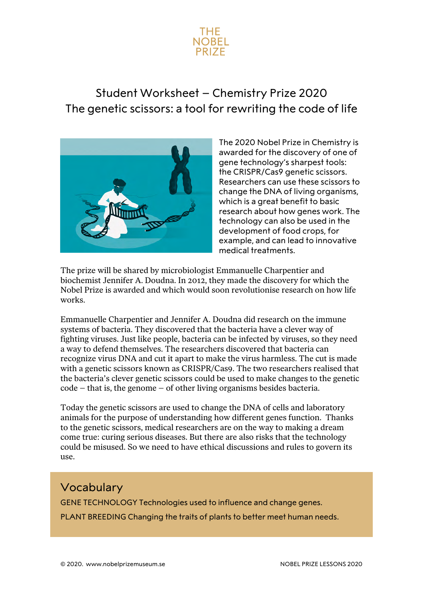

## Student Worksheet – Chemistry Prize 2020 The genetic scissors: a tool for rewriting the code of life



The 2020 Nobel Prize in Chemistry is awarded for the discovery of one of gene technology's sharpest tools: the CRISPR/Cas9 genetic scissors. Researchers can use these scissors to change the DNA of living organisms, which is a great benefit to basic research about how genes work. The technology can also be used in the development of food crops, for example, and can lead to innovative medical treatments.

The prize will be shared by microbiologist Emmanuelle Charpentier and biochemist Jennifer A. Doudna. In 2012, they made the discovery for which the Nobel Prize is awarded and which would soon revolutionise research on how life works.

Emmanuelle Charpentier and Jennifer A. Doudna did research on the immune systems of bacteria. They discovered that the bacteria have a clever way of fighting viruses. Just like people, bacteria can be infected by viruses, so they need a way to defend themselves. The researchers discovered that bacteria can recognize virus DNA and cut it apart to make the virus harmless. The cut is made with a genetic scissors known as CRISPR/Cas9. The two researchers realised that the bacteria's clever genetic scissors could be used to make changes to the genetic code – that is, the genome – of other living organisms besides bacteria.

Today the genetic scissors are used to change the DNA of cells and laboratory animals for the purpose of understanding how different genes function. Thanks to the genetic scissors, medical researchers are on the way to making a dream come true: curing serious diseases. But there are also risks that the technology could be misused. So we need to have ethical discussions and rules to govern its use.

## Vocabulary

GENE TECHNOLOGY Technologies used to influence and change genes.

PLANT BREEDING Changing the traits of plants to better meet human needs.